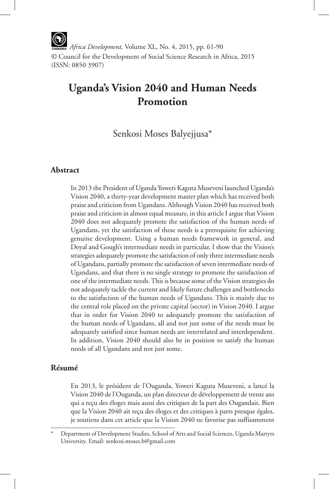*Africa Development,* Volume XL, No. 4, 2015, pp. 61-90 © Council for the Development of Social Science Research in Africa, 2015 (ISSN: 0850 3907)

# **Uganda's Vision 2040 and Human Needs Promotion**

Senkosi Moses Balyejjusa\*

## **Abstract**

In 2013 the President of Uganda Yoweri Kaguta Museveni launched Uganda's Vision 2040, a thirty-year development master plan which has received both praise and criticism from Ugandans. Although Vision 2040 has received both praise and criticism in almost equal measure, in this article I argue that Vision 2040 does not adequately promote the satisfaction of the human needs of Ugandans, yet the satisfaction of these needs is a prerequisite for achieving genuine development. Using a human needs framework in general, and Doyal and Gough's intermediate needs in particular, I show that the Vision's strategies adequately promote the satisfaction of only three intermediate needs of Ugandans, partially promote the satisfaction of seven intermediate needs of Ugandans, and that there is no single strategy to promote the satisfaction of one of the intermediate needs. This is because some of the Vision strategies do not adequately tackle the current and likely future challenges and bottlenecks to the satisfaction of the human needs of Ugandans. This is mainly due to the central role placed on the private capital (sector) in Vision 2040. I argue that in order for Vision 2040 to adequately promote the satisfaction of the human needs of Ugandans, all and not just some of the needs must be adequately satisfied since human needs are interrelated and interdependent. In addition, Vision 2040 should also be in position to satisfy the human needs of all Ugandans and not just some.

## **Résumé**

En 2013, le président de l'Ouganda, Yoweri Kaguta Museveni, a lancé la Vision 2040 de l'Ouganda, un plan directeur de développement de trente ans qui a reçu des éloges mais aussi des critiques de la part des Ougandais. Bien que la Vision 2040 ait reçu des éloges et des critiques à parts presque égales, je soutiens dans cet article que la Vision 2040 ne favorise pas suffisamment

Department of Development Studies, School of Arts and Social Sciences, Uganda Martyrs University. Email: senkosi.moses.b@gmail.com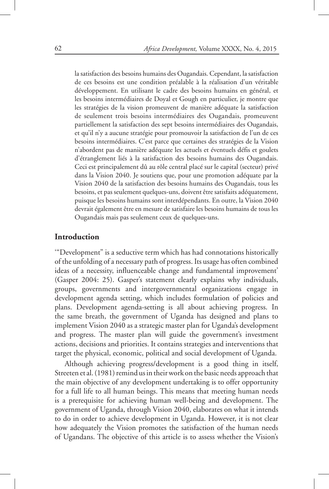la satisfaction des besoins humains des Ougandais. Cependant, la satisfaction de ces besoins est une condition préalable à la réalisation d'un véritable développement. En utilisant le cadre des besoins humains en général, et les besoins intermédiaires de Doyal et Gough en particulier, je montre que les stratégies de la vision promeuvent de manière adéquate la satisfaction de seulement trois besoins intermédiaires des Ougandais, promeuvent partiellement la satisfaction des sept besoins intermédiaires des Ougandais, et qu'il n'y a aucune stratégie pour promouvoir la satisfaction de l'un de ces besoins intermédiaires. C'est parce que certaines des stratégies de la Vision n'abordent pas de manière adéquate les actuels et éventuels défis et goulets d'étranglement liés à la satisfaction des besoins humains des Ougandais. Ceci est principalement dû au rôle central placé sur le capital (secteur) privé dans la Vision 2040. Je soutiens que, pour une promotion adéquate par la Vision 2040 de la satisfaction des besoins humains des Ougandais, tous les besoins, et pas seulement quelques-uns, doivent être satisfaits adéquatement, puisque les besoins humains sont interdépendants. En outre, la Vision 2040 devrait également être en mesure de satisfaire les besoins humains de tous les Ougandais mais pas seulement ceux de quelques-uns.

## **Introduction**

'"Development" is a seductive term which has had connotations historically of the unfolding of a necessary path of progress. Its usage has often combined ideas of a necessity, influenceable change and fundamental improvement' (Gasper 2004: 25). Gasper's statement clearly explains why individuals, groups, governments and intergovernmental organizations engage in development agenda setting, which includes formulation of policies and plans. Development agenda-setting is all about achieving progress. In the same breath, the government of Uganda has designed and plans to implement Vision 2040 as a strategic master plan for Uganda's development and progress. The master plan will guide the government's investment actions, decisions and priorities. It contains strategies and interventions that target the physical, economic, political and social development of Uganda.

Although achieving progress/development is a good thing in itself, Streeten et al. (1981) remind us in their work on the basic needs approach that the main objective of any development undertaking is to offer opportunity for a full life to all human beings. This means that meeting human needs is a prerequisite for achieving human well-being and development. The government of Uganda, through Vision 2040, elaborates on what it intends to do in order to achieve development in Uganda. However, it is not clear how adequately the Vision promotes the satisfaction of the human needs of Ugandans. The objective of this article is to assess whether the Vision's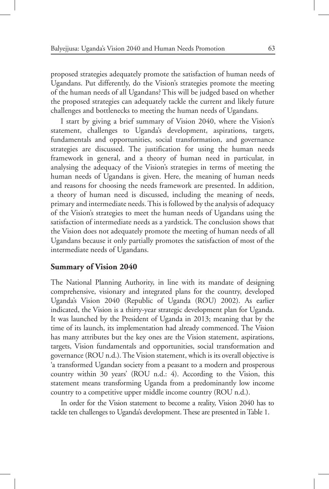proposed strategies adequately promote the satisfaction of human needs of Ugandans. Put differently, do the Vision's strategies promote the meeting of the human needs of all Ugandans? This will be judged based on whether the proposed strategies can adequately tackle the current and likely future challenges and bottlenecks to meeting the human needs of Ugandans.

I start by giving a brief summary of Vision 2040, where the Vision's statement, challenges to Uganda's development, aspirations, targets, fundamentals and opportunities, social transformation, and governance strategies are discussed. The justification for using the human needs framework in general, and a theory of human need in particular, in analysing the adequacy of the Vision's strategies in terms of meeting the human needs of Ugandans is given. Here, the meaning of human needs and reasons for choosing the needs framework are presented. In addition, a theory of human need is discussed, including the meaning of needs, primary and intermediate needs. This is followed by the analysis of adequacy of the Vision's strategies to meet the human needs of Ugandans using the satisfaction of intermediate needs as a yardstick. The conclusion shows that the Vision does not adequately promote the meeting of human needs of all Ugandans because it only partially promotes the satisfaction of most of the intermediate needs of Ugandans.

#### **Summary of Vision 2040**

The National Planning Authority, in line with its mandate of designing comprehensive, visionary and integrated plans for the country, developed Uganda's Vision 2040 (Republic of Uganda (ROU) 2002). As earlier indicated, the Vision is a thirty-year strategic development plan for Uganda. It was launched by the President of Uganda in 2013; meaning that by the time of its launch, its implementation had already commenced. The Vision has many attributes but the key ones are the Vision statement, aspirations, targets, Vision fundamentals and opportunities, social transformation and governance (ROU n.d.). The Vision statement, which is its overall objective is 'a transformed Ugandan society from a peasant to a modern and prosperous country within 30 years' (ROU n.d.: 4). According to the Vision, this statement means transforming Uganda from a predominantly low income country to a competitive upper middle income country (ROU n.d.).

In order for the Vision statement to become a reality, Vision 2040 has to tackle ten challenges to Uganda's development. These are presented in Table 1.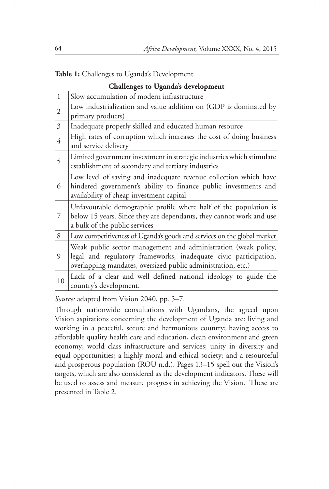|  |  | Table 1: Challenges to Uganda's Development |  |  |  |  |
|--|--|---------------------------------------------|--|--|--|--|
|--|--|---------------------------------------------|--|--|--|--|

| Challenges to Uganda's development |                                                                                                                                                                                                    |  |  |  |  |
|------------------------------------|----------------------------------------------------------------------------------------------------------------------------------------------------------------------------------------------------|--|--|--|--|
| $\mathbf{1}$                       | Slow accumulation of modern infrastructure                                                                                                                                                         |  |  |  |  |
| 2                                  | Low industrialization and value addition on (GDP is dominated by                                                                                                                                   |  |  |  |  |
|                                    | primary products)                                                                                                                                                                                  |  |  |  |  |
| 3                                  | Inadequate properly skilled and educated human resource                                                                                                                                            |  |  |  |  |
| 4                                  | High rates of corruption which increases the cost of doing business<br>and service delivery                                                                                                        |  |  |  |  |
| 5                                  | Limited government investment in strategic industries which stimulate<br>establishment of secondary and tertiary industries                                                                        |  |  |  |  |
| 6                                  | Low level of saving and inadequate revenue collection which have<br>hindered government's ability to finance public investments and<br>availability of cheap investment capital                    |  |  |  |  |
| 7                                  | Unfavourable demographic profile where half of the population is<br>below 15 years. Since they are dependants, they cannot work and use<br>a bulk of the public services                           |  |  |  |  |
| 8                                  | Low competitiveness of Uganda's goods and services on the global market                                                                                                                            |  |  |  |  |
| 9                                  | Weak public sector management and administration (weak policy,<br>legal and regulatory frameworks, inadequate civic participation,<br>overlapping mandates, oversized public administration, etc.) |  |  |  |  |
| 10                                 | Lack of a clear and well defined national ideology to guide the<br>country's development.                                                                                                          |  |  |  |  |

*Source:* adapted from Vision 2040, pp. 5–7.

Through nationwide consultations with Ugandans, the agreed upon Vision aspirations concerning the development of Uganda are: living and working in a peaceful, secure and harmonious country; having access to affordable quality health care and education, clean environment and green economy; world class infrastructure and services; unity in diversity and equal opportunities; a highly moral and ethical society; and a resourceful and prosperous population (ROU n.d.). Pages 13–15 spell out the Vision's targets, which are also considered as the development indicators. These will be used to assess and measure progress in achieving the Vision. These are presented in Table 2.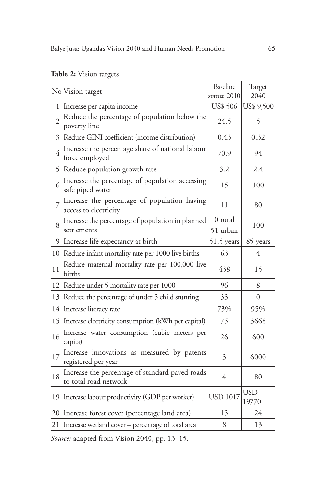## **Table 2:** Vision targets

|                | No Vision target                                                         | Baseline<br>status: 2010 | Target<br>2040      |
|----------------|--------------------------------------------------------------------------|--------------------------|---------------------|
| 1              | Increase per capita income                                               | <b>US\$ 506</b>          | US\$ 9,500          |
| $\overline{2}$ | Reduce the percentage of population below the<br>poverty line            | 24.5                     | 5                   |
| 3              | Reduce GINI coefficient (income distribution)                            | 0.43                     | 0.32                |
| 4              | Increase the percentage share of national labour<br>force employed       | 70.9                     | 94                  |
| 5              | Reduce population growth rate                                            | 3.2                      | 2.4                 |
| 6              | Increase the percentage of population accessing<br>safe piped water      | 15                       | 100                 |
| $\overline{7}$ | Increase the percentage of population having<br>access to electricity    | 11                       | 80                  |
| 8              | Increase the percentage of population in planned<br>settlements          | 0 rural<br>51 urban      | 100                 |
| 9              | Increase life expectancy at birth                                        | 51.5 years               | 85 years            |
| 10             | Reduce infant mortality rate per 1000 live births                        | 63                       | 4                   |
| 11             | Reduce maternal mortality rate per 100,000 live<br>births                | 438                      | 15                  |
| 12             | Reduce under 5 mortality rate per 1000                                   | 96                       | 8                   |
| 13             | Reduce the percentage of under 5 child stunting                          | 33                       | $\theta$            |
| 14             | Increase literacy rate                                                   | 73%                      | 95%                 |
| 15             | Increase electricity consumption (kWh per capital)                       | 75                       | 3668                |
| 16             | Increase water consumption (cubic meters per<br>capita)                  | 26                       | 600                 |
| 17             | Increase innovations as measured by patents<br>registered per year       | 3                        | 6000                |
| 18             | Increase the percentage of standard paved roads<br>to total road network | $\overline{4}$           | 80                  |
| 19             | Increase labour productivity (GDP per worker)                            | <b>USD 1017</b>          | <b>USD</b><br>19770 |
| 20             | Increase forest cover (percentage land area)                             | 15                       | 24                  |
| 21             | Increase wetland cover - percentage of total area                        | 8                        | 13                  |

*Source:* adapted from Vision 2040, pp. 13–15.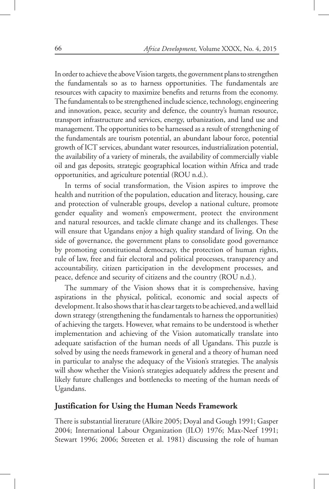In order to achieve the above Vision targets, the government plans to strengthen the fundamentals so as to harness opportunities. The fundamentals are resources with capacity to maximize benefits and returns from the economy. The fundamentals to be strengthened include science, technology, engineering and innovation, peace, security and defence, the country's human resource, transport infrastructure and services, energy, urbanization, and land use and management. The opportunities to be harnessed as a result of strengthening of the fundamentals are tourism potential, an abundant labour force, potential growth of ICT services, abundant water resources, industrialization potential, the availability of a variety of minerals, the availability of commercially viable oil and gas deposits, strategic geographical location within Africa and trade opportunities, and agriculture potential (ROU n.d.).

In terms of social transformation, the Vision aspires to improve the health and nutrition of the population, education and literacy, housing, care and protection of vulnerable groups, develop a national culture, promote gender equality and women's empowerment, protect the environment and natural resources, and tackle climate change and its challenges. These will ensure that Ugandans enjoy a high quality standard of living. On the side of governance, the government plans to consolidate good governance by promoting constitutional democracy, the protection of human rights, rule of law, free and fair electoral and political processes, transparency and accountability, citizen participation in the development processes, and peace, defence and security of citizens and the country (ROU n.d.).

The summary of the Vision shows that it is comprehensive, having aspirations in the physical, political, economic and social aspects of development. It also shows that it has clear targets to be achieved, and a well laid down strategy (strengthening the fundamentals to harness the opportunities) of achieving the targets. However, what remains to be understood is whether implementation and achieving of the Vision automatically translate into adequate satisfaction of the human needs of all Ugandans. This puzzle is solved by using the needs framework in general and a theory of human need in particular to analyse the adequacy of the Vision's strategies. The analysis will show whether the Vision's strategies adequately address the present and likely future challenges and bottlenecks to meeting of the human needs of Ugandans.

## **Justification for Using the Human Needs Framework**

There is substantial literature (Alkire 2005; Doyal and Gough 1991; Gasper 2004; International Labour Organization (ILO) 1976; Max-Neef 1991; Stewart 1996; 2006; Streeten et al. 1981) discussing the role of human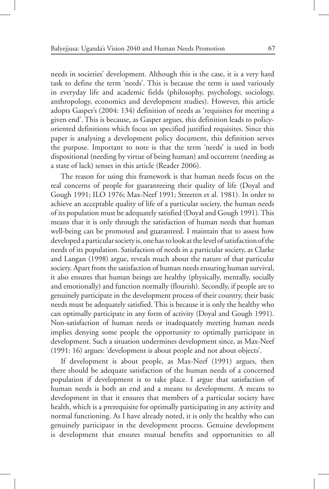needs in societies' development. Although this is the case, it is a very hard task to define the term 'needs'. This is because the term is used variously in everyday life and academic fields (philosophy, psychology, sociology, anthropology, economics and development studies). However, this article adopts Gasper's (2004: 134) definition of needs as 'requisites for meeting a given end'. This is because, as Gasper argues, this definition leads to policyoriented definitions which focus on specified justified requisites. Since this paper is analysing a development policy document, this definition serves the purpose. Important to note is that the term 'needs' is used in both dispositional (needing by virtue of being human) and occurrent (needing as a state of lack) senses in this article (Reader 2006).

The reason for using this framework is that human needs focus on the real concerns of people for guaranteeing their quality of life (Doyal and Gough 1991; ILO 1976; Max-Neef 1991; Streeten et al. 1981). In order to achieve an acceptable quality of life of a particular society, the human needs of its population must be adequately satisfied (Doyal and Gough 1991). This means that it is only through the satisfaction of human needs that human well-being can be promoted and guaranteed. I maintain that to assess how developed a particular society is, one has to look at the level of satisfaction of the needs of its population. Satisfaction of needs in a particular society, as Clarke and Langan (1998) argue, reveals much about the nature of that particular society. Apart from the satisfaction of human needs ensuring human survival, it also ensures that human beings are healthy (physically, mentally, socially and emotionally) and function normally (flourish). Secondly, if people are to genuinely participate in the development process of their country, their basic needs must be adequately satisfied. This is because it is only the healthy who can optimally participate in any form of activity (Doyal and Gough 1991). Non-satisfaction of human needs or inadequately meeting human needs implies denying some people the opportunity to optimally participate in development. Such a situation undermines development since, as Max-Neef (1991: 16) argues: 'development is about people and not about objects'.

If development is about people, as Max-Neef (1991) argues, then there should be adequate satisfaction of the human needs of a concerned population if development is to take place. I argue that satisfaction of human needs is both an end and a means to development. A means to development in that it ensures that members of a particular society have health, which is a prerequisite for optimally participating in any activity and normal functioning. As I have already noted, it is only the healthy who can genuinely participate in the development process. Genuine development is development that ensures mutual benefits and opportunities to all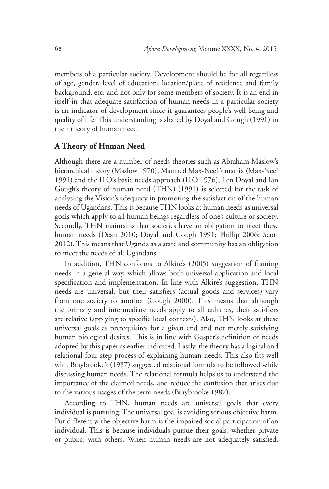members of a particular society. Development should be for all regardless of age, gender, level of education, location/place of residence and family background, etc. and not only for some members of society. It is an end in itself in that adequate satisfaction of human needs in a particular society is an indicator of development since it guarantees people's well-being and quality of life. This understanding is shared by Doyal and Gough (1991) in their theory of human need.

#### **A Theory of Human Need**

Although there are a number of needs theories such as Abraham Maslow's hierarchical theory (Maslow 1970), Manfred Max-Neef's matrix (Max-Neef 1991) and the ILO's basic needs approach (ILO 1976), Len Doyal and Ian Gough's theory of human need (THN) (1991) is selected for the task of analysing the Vision's adequacy in promoting the satisfaction of the human needs of Ugandans. This is because THN looks at human needs as universal goals which apply to all human beings regardless of one's culture or society. Secondly, THN maintains that societies have an obligation to meet these human needs (Dean 2010; Doyal and Gough 1991; Phillip 2006; Scott 2012). This means that Uganda as a state and community has an obligation to meet the needs of all Ugandans.

In addition, THN conforms to Alkire's (2005) suggestion of framing needs in a general way, which allows both universal application and local specification and implementation. In line with Alkire's suggestion, THN needs are universal, but their satisfiers (actual goods and services) vary from one society to another (Gough 2000). This means that although the primary and intermediate needs apply to all cultures, their satisfiers are relative (applying to specific local contexts). Also, THN looks at these universal goals as prerequisites for a given end and not merely satisfying human biological desires. This is in line with Gasper's definition of needs adopted by this paper as earlier indicated. Lastly, the theory has a logical and relational four-step process of explaining human needs. This also fits well with Braybrooke's (1987) suggested relational formula to be followed while discussing human needs. The relational formula helps us to understand the importance of the claimed needs, and reduce the confusion that arises due to the various usages of the term needs (Braybrooke 1987).

According to THN, human needs are universal goals that every individual is pursuing. The universal goal is avoiding serious objective harm. Put differently, the objective harm is the impaired social participation of an individual. This is because individuals pursue their goals, whether private or public, with others. When human needs are not adequately satisfied,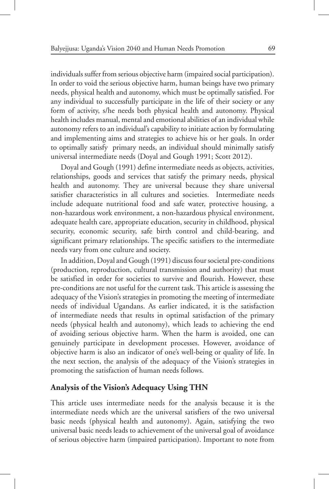individuals suffer from serious objective harm (impaired social participation). In order to void the serious objective harm, human beings have two primary needs, physical health and autonomy, which must be optimally satisfied. For any individual to successfully participate in the life of their society or any form of activity, s/he needs both physical health and autonomy. Physical health includes manual, mental and emotional abilities of an individual while autonomy refers to an individual's capability to initiate action by formulating and implementing aims and strategies to achieve his or her goals. In order to optimally satisfy primary needs, an individual should minimally satisfy universal intermediate needs (Doyal and Gough 1991; Scott 2012).

Doyal and Gough (1991) define intermediate needs as objects, activities, relationships, goods and services that satisfy the primary needs, physical health and autonomy. They are universal because they share universal satisfier characteristics in all cultures and societies. Intermediate needs include adequate nutritional food and safe water, protective housing, a non-hazardous work environment, a non-hazardous physical environment, adequate health care, appropriate education, security in childhood, physical security, economic security, safe birth control and child-bearing, and significant primary relationships. The specific satisfiers to the intermediate needs vary from one culture and society.

In addition, Doyal and Gough (1991) discuss four societal pre-conditions (production, reproduction, cultural transmission and authority) that must be satisfied in order for societies to survive and flourish. However, these pre-conditions are not useful for the current task. This article is assessing the adequacy of the Vision's strategies in promoting the meeting of intermediate needs of individual Ugandans. As earlier indicated, it is the satisfaction of intermediate needs that results in optimal satisfaction of the primary needs (physical health and autonomy), which leads to achieving the end of avoiding serious objective harm. When the harm is avoided, one can genuinely participate in development processes. However, avoidance of objective harm is also an indicator of one's well-being or quality of life. In the next section, the analysis of the adequacy of the Vision's strategies in promoting the satisfaction of human needs follows.

## **Analysis of the Vision's Adequacy Using THN**

This article uses intermediate needs for the analysis because it is the intermediate needs which are the universal satisfiers of the two universal basic needs (physical health and autonomy). Again, satisfying the two universal basic needs leads to achievement of the universal goal of avoidance of serious objective harm (impaired participation). Important to note from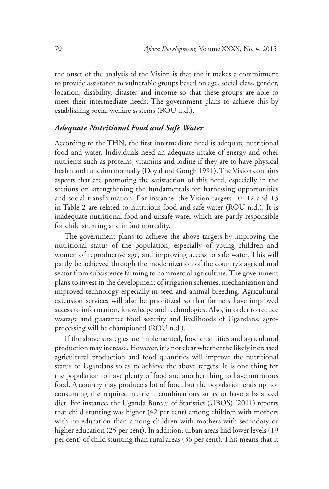the onset of the analysis of the Vision is that the it makes a commitment to provide assistance to vulnerable groups based on age, social class, gender, location, disability, disaster and income so that these groups are able to meet their intermediate needs. The government plans to achieve this by establishing social welfare systems (ROU n.d.).

## *Adequate Nutritional Food and Safe Water*

According to the THN, the first intermediate need is adequate nutritional food and water. Individuals need an adequate intake of energy and other nutrients such as proteins, vitamins and iodine if they are to have physical health and function normally (Doyal and Gough 1991). The Vision contains aspects that are promoting the satisfaction of this need, especially in the sections on strengthening the fundamentals for harnessing opportunities and social transformation. For instance, the Vision targets 10, 12 and 13 in Table 2 are related to nutritious food and safe water (ROU n.d.). It is inadequate nutritional food and unsafe water which are partly responsible for child stunting and infant mortality.

The government plans to achieve the above targets by improving the nutritional status of the population, especially of young children and women of reproductive age, and improving access to safe water. This will partly be achieved through the modernization of the country's agricultural sector from subsistence farming to commercial agriculture. The government plans to invest in the development of irrigation schemes, mechanization and improved technology especially in seed and animal breeding. Agricultural extension services will also be prioritized so that farmers have improved access to information, knowledge and technologies. Also, in order to reduce wastage and guarantee food security and livelihoods of Ugandans, agroprocessing will be championed (ROU n.d.).

If the above strategies are implemented, food quantities and agricultural production may increase. However, it is not clear whether the likely increased agricultural production and food quantities will improve the nutritional status of Ugandans so as to achieve the above targets. It is one thing for the population to have plenty of food and another thing to have nutritious food. A country may produce a lot of food, but the population ends up not consuming the required nutrient combinations so as to have a balanced diet. For instance, the Uganda Bureau of Statistics (UBOS) (2011) reports that child stunting was higher (42 per cent) among children with mothers with no education than among children with mothers with secondary or higher education (25 per cent). In addition, urban areas had lower levels (19 per cent) of child stunting than rural areas (36 per cent). This means that it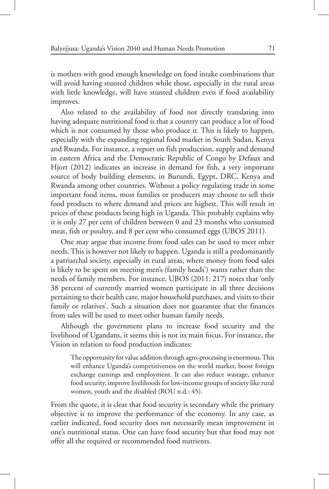is mothers with good enough knowledge on food intake combinations that will avoid having stunted children while those, especially in the rural areas with little knowledge, will have stunted children even if food availability improves.

Also related to the availability of food not directly translating into having adequate nutritional food is that a country can produce a lot of food which is not consumed by those who produce it. This is likely to happen, especially with the expanding regional food market in South Sudan, Kenya and Rwanda. For instance, a report on fish production, supply and demand in eastern Africa and the Democratic Republic of Congo by Defaux and Hjort (2012) indicates an increase in demand for fish, a very important source of body building elements, in Burundi, Egypt, DRC, Kenya and Rwanda among other countries. Without a policy regulating trade in some important food items, most families or producers may choose to sell their food products to where demand and prices are highest. This will result in prices of these products being high in Uganda. This probably explains why it is only 27 per cent of children between 0 and 23 months who consumed meat, fish or poultry, and 8 per cent who consumed eggs (UBOS 2011).

One may argue that income from food sales can be used to meet other needs. This is however not likely to happen. Uganda is still a predominantly a patriarchal society, especially in rural areas, where money from food sales is likely to be spent on meeting men's (family heads') wants rather than the needs of family members. For instance, UBOS (2011: 217) notes that 'only 38 percent of currently married women participate in all three decisions pertaining to their health care, major household purchases, and visits to their family or relatives'. Such a situation does not guarantee that the finances from sales will be used to meet other human family needs.

Although the government plans to increase food security and the livelihood of Ugandans, it seems this is not its main focus. For instance, the Vision in relation to food production indicates:

The opportunity for value addition through agro-processing is enormous. This will enhance Uganda's competitiveness on the world market, boost foreign exchange earnings and employment. It can also reduce wastage, enhance food security, improve livelihoods for low-income groups of society like rural women, youth and the disabled (ROU n.d.: 45).

From the quote, it is clear that food security is secondary while the primary objective is to improve the performance of the economy. In any case, as earlier indicated, food security does not necessarily mean improvement in one's nutritional status. One can have food security but that food may not offer all the required or recommended food nutrients.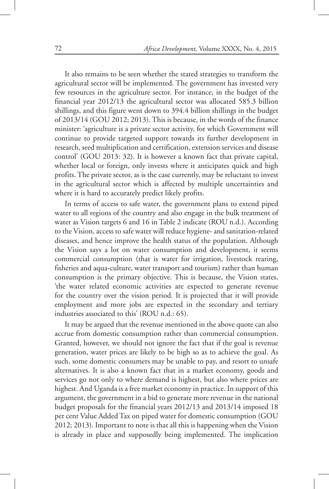It also remains to be seen whether the stated strategies to transform the agricultural sector will be implemented. The government has invested very few resources in the agriculture sector. For instance, in the budget of the financial year 2012/13 the agricultural sector was allocated 585.3 billion shillings, and this figure went down to 394.4 billion shillings in the budget of 2013/14 (GOU 2012; 2013). This is because, in the words of the finance minister: 'agriculture is a private sector activity, for which Government will continue to provide targeted support towards its further development in research, seed multiplication and certification, extension services and disease control' (GOU 2013: 32). It is however a known fact that private capital, whether local or foreign, only invests where it anticipates quick and high profits. The private sector, as is the case currently, may be reluctant to invest in the agricultural sector which is affected by multiple uncertainties and where it is hard to accurately predict likely profits.

In terms of access to safe water, the government plans to extend piped water to all regions of the country and also engage in the bulk treatment of water as Vision targets 6 and 16 in Table 2 indicate (ROU n.d.). According to the Vision, access to safe water will reduce hygiene- and sanitation-related diseases, and hence improve the health status of the population. Although the Vision says a lot on water consumption and development, it seems commercial consumption (that is water for irrigation, livestock rearing, fisheries and aqua-culture, water transport and tourism) rather than human consumption is the primary objective. This is because, the Vision states, 'the water related economic activities are expected to generate revenue for the country over the vision period. It is projected that it will provide employment and more jobs are expected in the secondary and tertiary industries associated to this' (ROU n.d.: 65).

It may be argued that the revenue mentioned in the above quote can also accrue from domestic consumption rather than commercial consumption. Granted, however, we should not ignore the fact that if the goal is revenue generation, water prices are likely to be high so as to achieve the goal. As such, some domestic consumers may be unable to pay, and resort to unsafe alternatives. It is also a known fact that in a market economy, goods and services go not only to where demand is highest, but also where prices are highest. And Uganda is a free market economy in practice. In support of this argument, the government in a bid to generate more revenue in the national budget proposals for the financial years 2012/13 and 2013/14 imposed 18 per cent Value Added Tax on piped water for domestic consumption (GOU 2012; 2013). Important to note is that all this is happening when the Vision is already in place and supposedly being implemented. The implication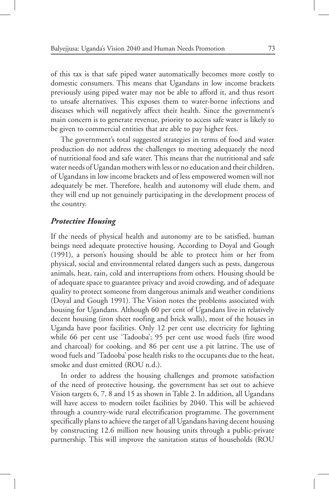of this tax is that safe piped water automatically becomes more costly to domestic consumers. This means that Ugandans in low income brackets previously using piped water may not be able to afford it, and thus resort to unsafe alternatives. This exposes them to water-borne infections and diseases which will negatively affect their health. Since the government's main concern is to generate revenue, priority to access safe water is likely to be given to commercial entities that are able to pay higher fees.

The government's total suggested strategies in terms of food and water production do not address the challenges to meeting adequately the need of nutritional food and safe water. This means that the nutritional and safe water needs of Ugandan mothers with less or no education and their children, of Ugandans in low income brackets and of less empowered women will not adequately be met. Therefore, health and autonomy will elude them, and they will end up not genuinely participating in the development process of the country.

#### *Protective Housing*

If the needs of physical health and autonomy are to be satisfied, human beings need adequate protective housing. According to Doyal and Gough (1991), a person's housing should be able to protect him or her from physical, social and environmental related dangers such as pests, dangerous animals, heat, rain, cold and interruptions from others. Housing should be of adequate space to guarantee privacy and avoid crowding, and of adequate quality to protect someone from dangerous animals and weather conditions (Doyal and Gough 1991). The Vision notes the problems associated with housing for Ugandans. Although 60 per cent of Ugandans live in relatively decent housing (iron sheet roofing and brick walls), most of the houses in Uganda have poor facilities. Only 12 per cent use electricity for lighting while 66 per cent use 'Tadooba'; 95 per cent use wood fuels (fire wood and charcoal) for cooking, and 86 per cent use a pit latrine. The use of wood fuels and 'Tadooba' pose health risks to the occupants due to the heat, smoke and dust emitted (ROU n.d.).

In order to address the housing challenges and promote satisfaction of the need of protective housing, the government has set out to achieve Vision targets 6, 7, 8 and 15 as shown in Table 2. In addition, all Ugandans will have access to modern toilet facilities by 2040. This will be achieved through a country-wide rural electrification programme. The government specifically plans to achieve the target of all Ugandans having decent housing by constructing 12.6 million new housing units through a public-private partnership. This will improve the sanitation status of households (ROU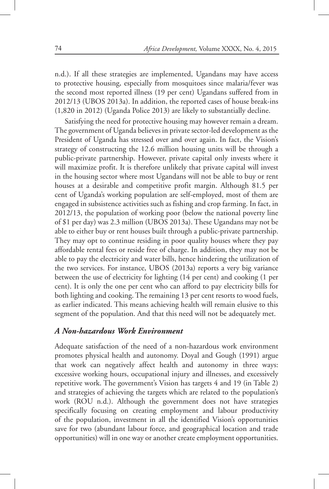n.d.). If all these strategies are implemented, Ugandans may have access to protective housing, especially from mosquitoes since malaria/fever was the second most reported illness (19 per cent) Ugandans suffered from in 2012/13 (UBOS 2013a). In addition, the reported cases of house break-ins (1,820 in 2012) (Uganda Police 2013) are likely to substantially decline.

Satisfying the need for protective housing may however remain a dream. The government of Uganda believes in private sector-led development as the President of Uganda has stressed over and over again. In fact, the Vision's strategy of constructing the 12.6 million housing units will be through a public-private partnership. However, private capital only invests where it will maximize profit. It is therefore unlikely that private capital will invest in the housing sector where most Ugandans will not be able to buy or rent houses at a desirable and competitive profit margin. Although 81.5 per cent of Uganda's working population are self-employed, most of them are engaged in subsistence activities such as fishing and crop farming. In fact, in 2012/13, the population of working poor (below the national poverty line of \$1 per day) was 2.3 million (UBOS 2013a). These Ugandans may not be able to either buy or rent houses built through a public-private partnership. They may opt to continue residing in poor quality houses where they pay affordable rental fees or reside free of charge. In addition, they may not be able to pay the electricity and water bills, hence hindering the utilization of the two services. For instance, UBOS (2013a) reports a very big variance between the use of electricity for lighting (14 per cent) and cooking (1 per cent). It is only the one per cent who can afford to pay electricity bills for both lighting and cooking. The remaining 13 per cent resorts to wood fuels, as earlier indicated. This means achieving health will remain elusive to this segment of the population. And that this need will not be adequately met.

## *A Non-hazardous Work Environment*

Adequate satisfaction of the need of a non-hazardous work environment promotes physical health and autonomy. Doyal and Gough (1991) argue that work can negatively affect health and autonomy in three ways: excessive working hours, occupational injury and illnesses, and excessively repetitive work. The government's Vision has targets 4 and 19 (in Table 2) and strategies of achieving the targets which are related to the population's work (ROU n.d.). Although the government does not have strategies specifically focusing on creating employment and labour productivity of the population, investment in all the identified Vision's opportunities save for two (abundant labour force, and geographical location and trade opportunities) will in one way or another create employment opportunities.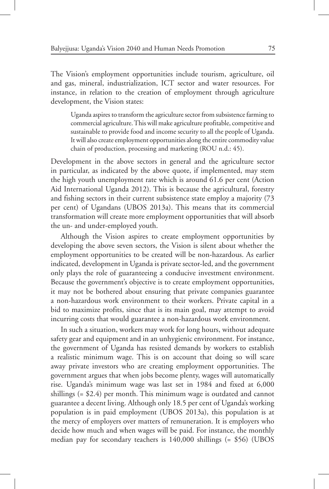The Vision's employment opportunities include tourism, agriculture, oil and gas, mineral, industrialization, ICT sector and water resources. For instance, in relation to the creation of employment through agriculture development, the Vision states:

Uganda aspires to transform the agriculture sector from subsistence farming to commercial agriculture. This will make agriculture profitable, competitive and sustainable to provide food and income security to all the people of Uganda. It will also create employment opportunities along the entire commodity value chain of production, processing and marketing (ROU n.d.: 45).

Development in the above sectors in general and the agriculture sector in particular, as indicated by the above quote, if implemented, may stem the high youth unemployment rate which is around 61.6 per cent (Action Aid International Uganda 2012). This is because the agricultural, forestry and fishing sectors in their current subsistence state employ a majority (73 per cent) of Ugandans (UBOS 2013a). This means that its commercial transformation will create more employment opportunities that will absorb the un- and under-employed youth.

Although the Vision aspires to create employment opportunities by developing the above seven sectors, the Vision is silent about whether the employment opportunities to be created will be non-hazardous. As earlier indicated, development in Uganda is private sector-led, and the government only plays the role of guaranteeing a conducive investment environment. Because the government's objective is to create employment opportunities, it may not be bothered about ensuring that private companies guarantee a non-hazardous work environment to their workers. Private capital in a bid to maximize profits, since that is its main goal, may attempt to avoid incurring costs that would guarantee a non-hazardous work environment.

In such a situation, workers may work for long hours, without adequate safety gear and equipment and in an unhygienic environment. For instance, the government of Uganda has resisted demands by workers to establish a realistic minimum wage. This is on account that doing so will scare away private investors who are creating employment opportunities. The government argues that when jobs become plenty, wages will automatically rise. Uganda's minimum wage was last set in 1984 and fixed at 6,000 shillings (= \$2.4) per month. This minimum wage is outdated and cannot guarantee a decent living. Although only 18.5 per cent of Uganda's working population is in paid employment (UBOS 2013a), this population is at the mercy of employers over matters of remuneration. It is employers who decide how much and when wages will be paid. For instance, the monthly median pay for secondary teachers is 140,000 shillings (= \$56) (UBOS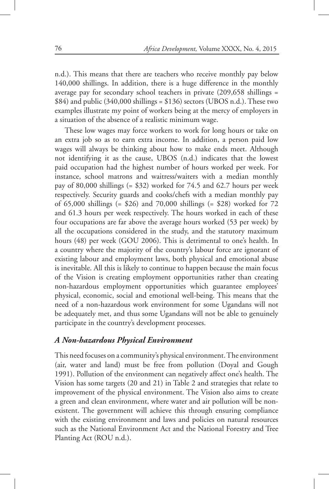n.d.). This means that there are teachers who receive monthly pay below 140,000 shillings. In addition, there is a huge difference in the monthly average pay for secondary school teachers in private (209,658 shillings =  $$84$ ) and public (340,000 shillings = \$136) sectors (UBOS n.d.). These two examples illustrate my point of workers being at the mercy of employers in a situation of the absence of a realistic minimum wage.

These low wages may force workers to work for long hours or take on an extra job so as to earn extra income. In addition, a person paid low wages will always be thinking about how to make ends meet. Although not identifying it as the cause, UBOS (n.d.) indicates that the lowest paid occupation had the highest number of hours worked per week. For instance, school matrons and waitress/waiters with a median monthly pay of 80,000 shillings (= \$32) worked for 74.5 and 62.7 hours per week respectively. Security guards and cooks/chefs with a median monthly pay of 65,000 shillings (= \$26) and 70,000 shillings (= \$28) worked for 72 and 61.3 hours per week respectively. The hours worked in each of these four occupations are far above the average hours worked (53 per week) by all the occupations considered in the study, and the statutory maximum hours (48) per week (GOU 2006). This is detrimental to one's health. In a country where the majority of the country's labour force are ignorant of existing labour and employment laws, both physical and emotional abuse is inevitable. All this is likely to continue to happen because the main focus of the Vision is creating employment opportunities rather than creating non-hazardous employment opportunities which guarantee employees' physical, economic, social and emotional well-being. This means that the need of a non-hazardous work environment for some Ugandans will not be adequately met, and thus some Ugandans will not be able to genuinely participate in the country's development processes.

#### *A Non-hazardous Physical Environment*

This need focuses on a community's physical environment. The environment (air, water and land) must be free from pollution (Doyal and Gough 1991). Pollution of the environment can negatively affect one's health. The Vision has some targets (20 and 21) in Table 2 and strategies that relate to improvement of the physical environment. The Vision also aims to create a green and clean environment, where water and air pollution will be nonexistent. The government will achieve this through ensuring compliance with the existing environment and laws and policies on natural resources such as the National Environment Act and the National Forestry and Tree Planting Act (ROU n.d.).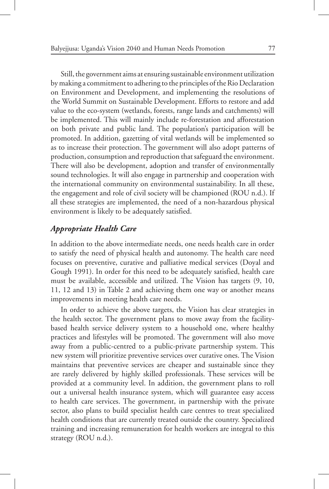Still, the government aims at ensuring sustainable environment utilization by making a commitment to adhering to the principles of the Rio Declaration on Environment and Development, and implementing the resolutions of the World Summit on Sustainable Development. Efforts to restore and add value to the eco-system (wetlands, forests, range lands and catchments) will be implemented. This will mainly include re-forestation and afforestation on both private and public land. The population's participation will be promoted. In addition, gazetting of vital wetlands will be implemented so as to increase their protection. The government will also adopt patterns of production, consumption and reproduction that safeguard the environment. There will also be development, adoption and transfer of environmentally sound technologies. It will also engage in partnership and cooperation with the international community on environmental sustainability. In all these, the engagement and role of civil society will be championed (ROU n.d.). If all these strategies are implemented, the need of a non-hazardous physical environment is likely to be adequately satisfied.

#### *Appropriate Health Care*

In addition to the above intermediate needs, one needs health care in order to satisfy the need of physical health and autonomy. The health care need focuses on preventive, curative and palliative medical services (Doyal and Gough 1991). In order for this need to be adequately satisfied, health care must be available, accessible and utilized. The Vision has targets (9, 10, 11, 12 and 13) in Table 2 and achieving them one way or another means improvements in meeting health care needs.

In order to achieve the above targets, the Vision has clear strategies in the health sector. The government plans to move away from the facilitybased health service delivery system to a household one, where healthy practices and lifestyles will be promoted. The government will also move away from a public-centred to a public-private partnership system. This new system will prioritize preventive services over curative ones. The Vision maintains that preventive services are cheaper and sustainable since they are rarely delivered by highly skilled professionals. These services will be provided at a community level. In addition, the government plans to roll out a universal health insurance system, which will guarantee easy access to health care services. The government, in partnership with the private sector, also plans to build specialist health care centres to treat specialized health conditions that are currently treated outside the country. Specialized training and increasing remuneration for health workers are integral to this strategy (ROU n.d.).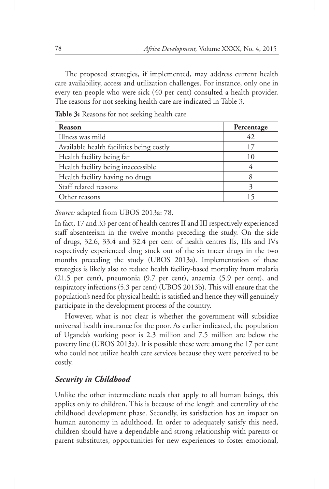The proposed strategies, if implemented, may address current health care availability, access and utilization challenges. For instance, only one in every ten people who were sick (40 per cent) consulted a health provider. The reasons for not seeking health care are indicated in Table 3.

| Reason                                   | Percentage |
|------------------------------------------|------------|
| Illness was mild                         | 42         |
| Available health facilities being costly | 17         |
| Health facility being far                | 10         |
| Health facility being inaccessible       |            |
| Health facility having no drugs          | 8          |
| Staff related reasons                    |            |
| Other reasons                            | 15         |

**Table 3:** Reasons for not seeking health care

*Source:* adapted from UBOS 2013a: 78.

In fact, 17 and 33 per cent of health centres II and III respectively experienced staff absenteeism in the twelve months preceding the study. On the side of drugs, 32.6, 33.4 and 32.4 per cent of health centres IIs, IIIs and IVs respectively experienced drug stock out of the six tracer drugs in the two months preceding the study (UBOS 2013a). Implementation of these strategies is likely also to reduce health facility-based mortality from malaria (21.5 per cent), pneumonia (9.7 per cent), anaemia (5.9 per cent), and respiratory infections (5.3 per cent) (UBOS 2013b). This will ensure that the population's need for physical health is satisfied and hence they will genuinely participate in the development process of the country.

However, what is not clear is whether the government will subsidize universal health insurance for the poor. As earlier indicated, the population of Uganda's working poor is 2.3 million and 7.5 million are below the poverty line (UBOS 2013a). It is possible these were among the 17 per cent who could not utilize health care services because they were perceived to be costly.

## *Security in Childhood*

Unlike the other intermediate needs that apply to all human beings, this applies only to children. This is because of the length and centrality of the childhood development phase. Secondly, its satisfaction has an impact on human autonomy in adulthood. In order to adequately satisfy this need, children should have a dependable and strong relationship with parents or parent substitutes, opportunities for new experiences to foster emotional,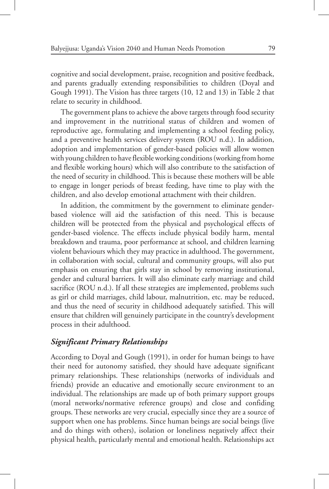cognitive and social development, praise, recognition and positive feedback, and parents gradually extending responsibilities to children (Doyal and Gough 1991). The Vision has three targets (10, 12 and 13) in Table 2 that relate to security in childhood.

The government plans to achieve the above targets through food security and improvement in the nutritional status of children and women of reproductive age, formulating and implementing a school feeding policy, and a preventive health services delivery system (ROU n.d.). In addition, adoption and implementation of gender-based policies will allow women with young children to have flexible working conditions (working from home and flexible working hours) which will also contribute to the satisfaction of the need of security in childhood. This is because these mothers will be able to engage in longer periods of breast feeding, have time to play with the children, and also develop emotional attachment with their children.

In addition, the commitment by the government to eliminate genderbased violence will aid the satisfaction of this need. This is because children will be protected from the physical and psychological effects of gender-based violence. The effects include physical bodily harm, mental breakdown and trauma, poor performance at school, and children learning violent behaviours which they may practice in adulthood. The government, in collaboration with social, cultural and community groups, will also put emphasis on ensuring that girls stay in school by removing institutional, gender and cultural barriers. It will also eliminate early marriage and child sacrifice (ROU n.d.). If all these strategies are implemented, problems such as girl or child marriages, child labour, malnutrition, etc. may be reduced, and thus the need of security in childhood adequately satisfied. This will ensure that children will genuinely participate in the country's development process in their adulthood.

## *Significant Primary Relationships*

According to Doyal and Gough (1991), in order for human beings to have their need for autonomy satisfied, they should have adequate significant primary relationships. These relationships (networks of individuals and friends) provide an educative and emotionally secure environment to an individual. The relationships are made up of both primary support groups (moral networks/normative reference groups) and close and confiding groups. These networks are very crucial, especially since they are a source of support when one has problems. Since human beings are social beings (live and do things with others), isolation or loneliness negatively affect their physical health, particularly mental and emotional health. Relationships act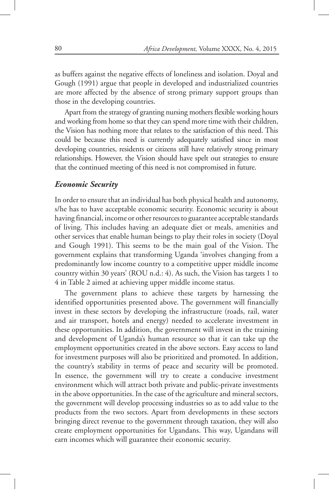as buffers against the negative effects of loneliness and isolation. Doyal and Gough (1991) argue that people in developed and industrialized countries are more affected by the absence of strong primary support groups than those in the developing countries.

Apart from the strategy of granting nursing mothers flexible working hours and working from home so that they can spend more time with their children, the Vision has nothing more that relates to the satisfaction of this need. This could be because this need is currently adequately satisfied since in most developing countries, residents or citizens still have relatively strong primary relationships. However, the Vision should have spelt out strategies to ensure that the continued meeting of this need is not compromised in future.

#### *Economic Security*

In order to ensure that an individual has both physical health and autonomy, s/he has to have acceptable economic security. Economic security is about having financial, income or other resources to guarantee acceptable standards of living. This includes having an adequate diet or meals, amenities and other services that enable human beings to play their roles in society (Doyal and Gough 1991). This seems to be the main goal of the Vision. The government explains that transforming Uganda 'involves changing from a predominantly low income country to a competitive upper middle income country within 30 years' (ROU n.d.: 4). As such, the Vision has targets 1 to 4 in Table 2 aimed at achieving upper middle income status.

The government plans to achieve these targets by harnessing the identified opportunities presented above. The government will financially invest in these sectors by developing the infrastructure (roads, rail, water and air transport, hotels and energy) needed to accelerate investment in these opportunities. In addition, the government will invest in the training and development of Uganda's human resource so that it can take up the employment opportunities created in the above sectors. Easy access to land for investment purposes will also be prioritized and promoted. In addition, the country's stability in terms of peace and security will be promoted. In essence, the government will try to create a conducive investment environment which will attract both private and public-private investments in the above opportunities. In the case of the agriculture and mineral sectors, the government will develop processing industries so as to add value to the products from the two sectors. Apart from developments in these sectors bringing direct revenue to the government through taxation, they will also create employment opportunities for Ugandans. This way, Ugandans will earn incomes which will guarantee their economic security.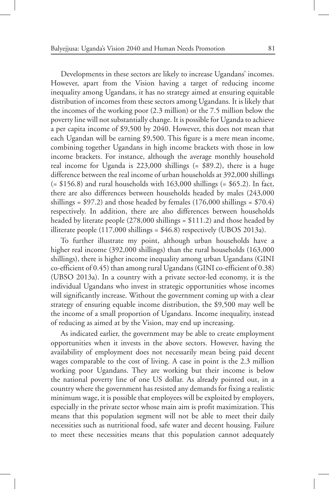Developments in these sectors are likely to increase Ugandans' incomes. However, apart from the Vision having a target of reducing income inequality among Ugandans, it has no strategy aimed at ensuring equitable distribution of incomes from these sectors among Ugandans. It is likely that the incomes of the working poor (2.3 million) or the 7.5 million below the poverty line will not substantially change. It is possible for Uganda to achieve a per capita income of \$9,500 by 2040. However, this does not mean that each Ugandan will be earning \$9,500. This figure is a mere mean income, combining together Ugandans in high income brackets with those in low income brackets. For instance, although the average monthly household real income for Uganda is 223,000 shillings (= \$89.2), there is a huge difference between the real income of urban households at 392,000 shillings  $(= $156.8)$  and rural households with 163,000 shillings  $(= $65.2)$ . In fact, there are also differences between households headed by males (243,000 shillings =  $$97.2$ ) and those headed by females (176,000 shillings =  $$70.4$ ) respectively. In addition, there are also differences between households headed by literate people (278,000 shillings = \$111.2) and those headed by illiterate people  $(117,000 \text{ shillings} = $46.8)$  respectively (UBOS 2013a).

To further illustrate my point, although urban households have a higher real income (392,000 shillings) than the rural households (163,000 shillings), there is higher income inequality among urban Ugandans (GINI co-efficient of 0.45) than among rural Ugandans (GINI co-efficient of 0.38) (UBSO 2013a). In a country with a private sector-led economy, it is the individual Ugandans who invest in strategic opportunities whose incomes will significantly increase. Without the government coming up with a clear strategy of ensuring equable income distribution, the \$9,500 may well be the income of a small proportion of Ugandans. Income inequality, instead of reducing as aimed at by the Vision, may end up increasing.

As indicated earlier, the government may be able to create employment opportunities when it invests in the above sectors. However, having the availability of employment does not necessarily mean being paid decent wages comparable to the cost of living. A case in point is the 2.3 million working poor Ugandans. They are working but their income is below the national poverty line of one US dollar. As already pointed out, in a country where the government has resisted any demands for fixing a realistic minimum wage, it is possible that employees will be exploited by employers, especially in the private sector whose main aim is profit maximization. This means that this population segment will not be able to meet their daily necessities such as nutritional food, safe water and decent housing. Failure to meet these necessities means that this population cannot adequately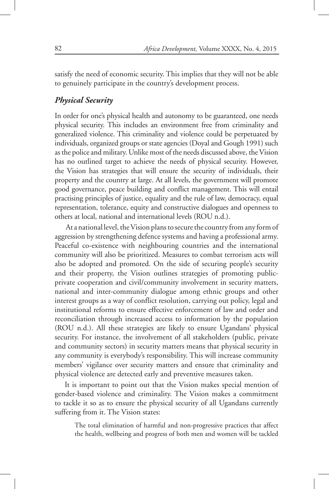satisfy the need of economic security. This implies that they will not be able to genuinely participate in the country's development process.

## *Physical Security*

In order for one's physical health and autonomy to be guaranteed, one needs physical security. This includes an environment free from criminality and generalized violence. This criminality and violence could be perpetuated by individuals, organized groups or state agencies (Doyal and Gough 1991) such as the police and military. Unlike most of the needs discussed above, the Vision has no outlined target to achieve the needs of physical security. However, the Vision has strategies that will ensure the security of individuals, their property and the country at large. At all levels, the government will promote good governance, peace building and conflict management. This will entail practising principles of justice, equality and the rule of law, democracy, equal representation, tolerance, equity and constructive dialogues and openness to others at local, national and international levels (ROU n.d.).

 At a national level, the Vision plans to secure the country from any form of aggression by strengthening defence systems and having a professional army. Peaceful co-existence with neighbouring countries and the international community will also be prioritized. Measures to combat terrorism acts will also be adopted and promoted. On the side of securing people's security and their property, the Vision outlines strategies of promoting publicprivate cooperation and civil/community involvement in security matters, national and inter-community dialogue among ethnic groups and other interest groups as a way of conflict resolution, carrying out policy, legal and institutional reforms to ensure effective enforcement of law and order and reconciliation through increased access to information by the population (ROU n.d.). All these strategies are likely to ensure Ugandans' physical security. For instance, the involvement of all stakeholders (public, private and community sectors) in security matters means that physical security in any community is everybody's responsibility. This will increase community members' vigilance over security matters and ensure that criminality and physical violence are detected early and preventive measures taken.

It is important to point out that the Vision makes special mention of gender-based violence and criminality. The Vision makes a commitment to tackle it so as to ensure the physical security of all Ugandans currently suffering from it. The Vision states:

The total elimination of harmful and non-progressive practices that affect the health, wellbeing and progress of both men and women will be tackled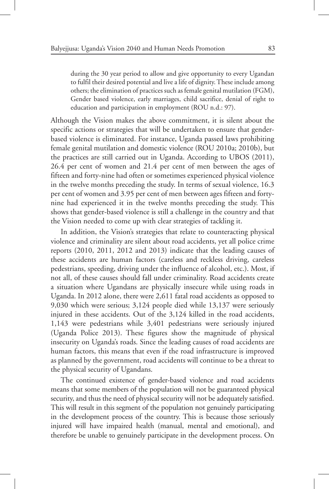during the 30 year period to allow and give opportunity to every Ugandan to fulfil their desired potential and live a life of dignity. These include among others; the elimination of practices such as female genital mutilation (FGM), Gender based violence, early marriages, child sacrifice, denial of right to education and participation in employment (ROU n.d.: 97).

Although the Vision makes the above commitment, it is silent about the specific actions or strategies that will be undertaken to ensure that genderbased violence is eliminated. For instance, Uganda passed laws prohibiting female genital mutilation and domestic violence (ROU 2010a; 2010b), but the practices are still carried out in Uganda. According to UBOS (2011), 26.4 per cent of women and 21.4 per cent of men between the ages of fifteen and forty-nine had often or sometimes experienced physical violence in the twelve months preceding the study. In terms of sexual violence, 16.3 per cent of women and 3.95 per cent of men between ages fifteen and fortynine had experienced it in the twelve months preceding the study. This shows that gender-based violence is still a challenge in the country and that the Vision needed to come up with clear strategies of tackling it.

In addition, the Vision's strategies that relate to counteracting physical violence and criminality are silent about road accidents, yet all police crime reports (2010, 2011, 2012 and 2013) indicate that the leading causes of these accidents are human factors (careless and reckless driving, careless pedestrians, speeding, driving under the influence of alcohol, etc.). Most, if not all, of these causes should fall under criminality. Road accidents create a situation where Ugandans are physically insecure while using roads in Uganda. In 2012 alone, there were 2,611 fatal road accidents as opposed to 9,030 which were serious; 3,124 people died while 13,137 were seriously injured in these accidents. Out of the 3,124 killed in the road accidents, 1,143 were pedestrians while 3,401 pedestrians were seriously injured (Uganda Police 2013). These figures show the magnitude of physical insecurity on Uganda's roads. Since the leading causes of road accidents are human factors, this means that even if the road infrastructure is improved as planned by the government, road accidents will continue to be a threat to the physical security of Ugandans.

The continued existence of gender-based violence and road accidents means that some members of the population will not be guaranteed physical security, and thus the need of physical security will not be adequately satisfied. This will result in this segment of the population not genuinely participating in the development process of the country. This is because those seriously injured will have impaired health (manual, mental and emotional), and therefore be unable to genuinely participate in the development process. On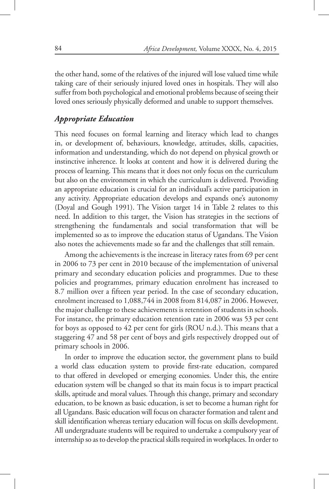the other hand, some of the relatives of the injured will lose valued time while taking care of their seriously injured loved ones in hospitals. They will also suffer from both psychological and emotional problems because of seeing their loved ones seriously physically deformed and unable to support themselves.

## *Appropriate Education*

This need focuses on formal learning and literacy which lead to changes in, or development of, behaviours, knowledge, attitudes, skills, capacities, information and understanding, which do not depend on physical growth or instinctive inherence. It looks at content and how it is delivered during the process of learning. This means that it does not only focus on the curriculum but also on the environment in which the curriculum is delivered. Providing an appropriate education is crucial for an individual's active participation in any activity. Appropriate education develops and expands one's autonomy (Doyal and Gough 1991). The Vision target 14 in Table 2 relates to this need. In addition to this target, the Vision has strategies in the sections of strengthening the fundamentals and social transformation that will be implemented so as to improve the education status of Ugandans. The Vision also notes the achievements made so far and the challenges that still remain.

Among the achievements is the increase in literacy rates from 69 per cent in 2006 to 73 per cent in 2010 because of the implementation of universal primary and secondary education policies and programmes. Due to these policies and programmes, primary education enrolment has increased to 8.7 million over a fifteen year period. In the case of secondary education, enrolment increased to 1,088,744 in 2008 from 814,087 in 2006. However, the major challenge to these achievements is retention of students in schools. For instance, the primary education retention rate in 2006 was 53 per cent for boys as opposed to 42 per cent for girls (ROU n.d.). This means that a staggering 47 and 58 per cent of boys and girls respectively dropped out of primary schools in 2006.

In order to improve the education sector, the government plans to build a world class education system to provide first-rate education, compared to that offered in developed or emerging economies. Under this, the entire education system will be changed so that its main focus is to impart practical skills, aptitude and moral values. Through this change, primary and secondary education, to be known as basic education, is set to become a human right for all Ugandans. Basic education will focus on character formation and talent and skill identification whereas tertiary education will focus on skills development. All undergraduate students will be required to undertake a compulsory year of internship so as to develop the practical skills required in workplaces. In order to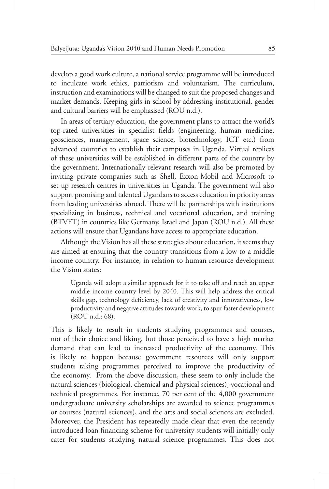develop a good work culture, a national service programme will be introduced to inculcate work ethics, patriotism and voluntarism. The curriculum, instruction and examinations will be changed to suit the proposed changes and market demands. Keeping girls in school by addressing institutional, gender and cultural barriers will be emphasised (ROU n.d.).

In areas of tertiary education, the government plans to attract the world's top-rated universities in specialist fields (engineering, human medicine, geosciences, management, space science, biotechnology, ICT etc.) from advanced countries to establish their campuses in Uganda. Virtual replicas of these universities will be established in different parts of the country by the government. Internationally relevant research will also be promoted by inviting private companies such as Shell, Exxon-Mobil and Microsoft to set up research centres in universities in Uganda. The government will also support promising and talented Ugandans to access education in priority areas from leading universities abroad. There will be partnerships with institutions specializing in business, technical and vocational education, and training (BTVET) in countries like Germany, Israel and Japan (ROU n.d.). All these actions will ensure that Ugandans have access to appropriate education.

Although the Vision has all these strategies about education, it seems they are aimed at ensuring that the country transitions from a low to a middle income country. For instance, in relation to human resource development the Vision states:

Uganda will adopt a similar approach for it to take off and reach an upper middle income country level by 2040. This will help address the critical skills gap, technology deficiency, lack of creativity and innovativeness, low productivity and negative attitudes towards work, to spur faster development (ROU n.d.: 68).

This is likely to result in students studying programmes and courses, not of their choice and liking, but those perceived to have a high market demand that can lead to increased productivity of the economy. This is likely to happen because government resources will only support students taking programmes perceived to improve the productivity of the economy. From the above discussion, these seem to only include the natural sciences (biological, chemical and physical sciences), vocational and technical programmes. For instance, 70 per cent of the 4,000 government undergraduate university scholarships are awarded to science programmes or courses (natural sciences), and the arts and social sciences are excluded. Moreover, the President has repeatedly made clear that even the recently introduced loan financing scheme for university students will initially only cater for students studying natural science programmes. This does not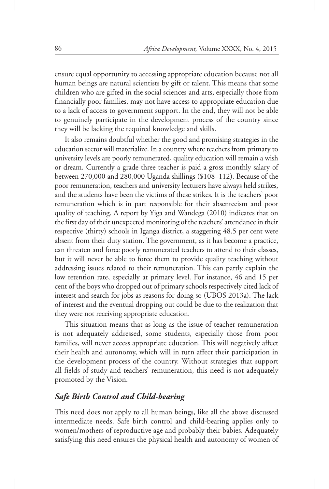ensure equal opportunity to accessing appropriate education because not all human beings are natural scientists by gift or talent. This means that some children who are gifted in the social sciences and arts, especially those from financially poor families, may not have access to appropriate education due to a lack of access to government support. In the end, they will not be able to genuinely participate in the development process of the country since they will be lacking the required knowledge and skills.

It also remains doubtful whether the good and promising strategies in the education sector will materialize. In a country where teachers from primary to university levels are poorly remunerated, quality education will remain a wish or dream. Currently a grade three teacher is paid a gross monthly salary of between 270,000 and 280,000 Uganda shillings (\$108–112). Because of the poor remuneration, teachers and university lecturers have always held strikes, and the students have been the victims of these strikes. It is the teachers' poor remuneration which is in part responsible for their absenteeism and poor quality of teaching. A report by Yiga and Wandega (2010) indicates that on the first day of their unexpected monitoring of the teachers' attendance in their respective (thirty) schools in Iganga district, a staggering 48.5 per cent were absent from their duty station. The government, as it has become a practice, can threaten and force poorly remunerated teachers to attend to their classes, but it will never be able to force them to provide quality teaching without addressing issues related to their remuneration. This can partly explain the low retention rate, especially at primary level. For instance, 46 and 15 per cent of the boys who dropped out of primary schools respectively cited lack of interest and search for jobs as reasons for doing so (UBOS 2013a). The lack of interest and the eventual dropping out could be due to the realization that they were not receiving appropriate education.

This situation means that as long as the issue of teacher remuneration is not adequately addressed, some students, especially those from poor families, will never access appropriate education. This will negatively affect their health and autonomy, which will in turn affect their participation in the development process of the country. Without strategies that support all fields of study and teachers' remuneration, this need is not adequately promoted by the Vision.

## *Safe Birth Control and Child-bearing*

This need does not apply to all human beings, like all the above discussed intermediate needs. Safe birth control and child-bearing applies only to women/mothers of reproductive age and probably their babies. Adequately satisfying this need ensures the physical health and autonomy of women of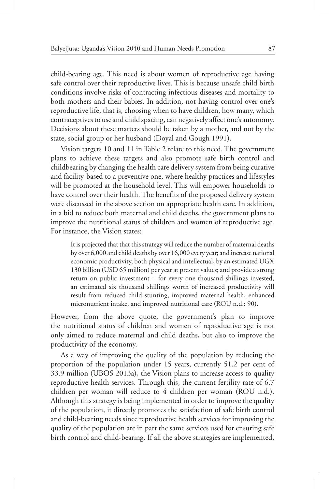child-bearing age. This need is about women of reproductive age having safe control over their reproductive lives. This is because unsafe child birth conditions involve risks of contracting infectious diseases and mortality to both mothers and their babies. In addition, not having control over one's reproductive life, that is, choosing when to have children, how many, which contraceptives to use and child spacing, can negatively affect one's autonomy. Decisions about these matters should be taken by a mother, and not by the state, social group or her husband (Doyal and Gough 1991).

Vision targets 10 and 11 in Table 2 relate to this need. The government plans to achieve these targets and also promote safe birth control and childbearing by changing the health care delivery system from being curative and facility-based to a preventive one, where healthy practices and lifestyles will be promoted at the household level. This will empower households to have control over their health. The benefits of the proposed delivery system were discussed in the above section on appropriate health care. In addition, in a bid to reduce both maternal and child deaths, the government plans to improve the nutritional status of children and women of reproductive age. For instance, the Vision states:

It is projected that that this strategy will reduce the number of maternal deaths by over 6,000 and child deaths by over 16,000 every year; and increase national economic productivity, both physical and intellectual, by an estimated UGX 130 billion (USD 65 million) per year at present values; and provide a strong return on public investment – for every one thousand shillings invested, an estimated six thousand shillings worth of increased productivity will result from reduced child stunting, improved maternal health, enhanced micronutrient intake, and improved nutritional care (ROU n.d.: 90).

However, from the above quote, the government's plan to improve the nutritional status of children and women of reproductive age is not only aimed to reduce maternal and child deaths, but also to improve the productivity of the economy.

As a way of improving the quality of the population by reducing the proportion of the population under 15 years, currently 51.2 per cent of 33.9 million (UBOS 2013a), the Vision plans to increase access to quality reproductive health services. Through this, the current fertility rate of 6.7 children per woman will reduce to 4 children per woman (ROU n.d.). Although this strategy is being implemented in order to improve the quality of the population, it directly promotes the satisfaction of safe birth control and child-bearing needs since reproductive health services for improving the quality of the population are in part the same services used for ensuring safe birth control and child-bearing. If all the above strategies are implemented,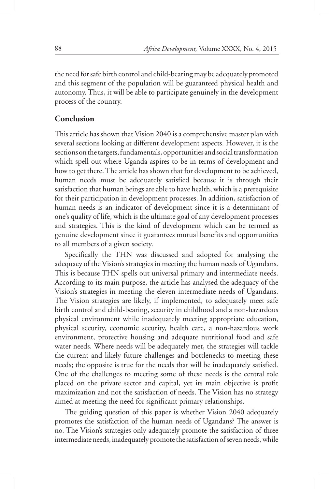the need for safe birth control and child-bearing may be adequately promoted and this segment of the population will be guaranteed physical health and autonomy. Thus, it will be able to participate genuinely in the development process of the country.

## **Conclusion**

This article has shown that Vision 2040 is a comprehensive master plan with several sections looking at different development aspects. However, it is the sections on the targets, fundamentals, opportunities and social transformation which spell out where Uganda aspires to be in terms of development and how to get there. The article has shown that for development to be achieved, human needs must be adequately satisfied because it is through their satisfaction that human beings are able to have health, which is a prerequisite for their participation in development processes. In addition, satisfaction of human needs is an indicator of development since it is a determinant of one's quality of life, which is the ultimate goal of any development processes and strategies. This is the kind of development which can be termed as genuine development since it guarantees mutual benefits and opportunities to all members of a given society.

Specifically the THN was discussed and adopted for analysing the adequacy of the Vision's strategies in meeting the human needs of Ugandans. This is because THN spells out universal primary and intermediate needs. According to its main purpose, the article has analysed the adequacy of the Vision's strategies in meeting the eleven intermediate needs of Ugandans. The Vision strategies are likely, if implemented, to adequately meet safe birth control and child-bearing, security in childhood and a non-hazardous physical environment while inadequately meeting appropriate education, physical security, economic security, health care, a non-hazardous work environment, protective housing and adequate nutritional food and safe water needs. Where needs will be adequately met, the strategies will tackle the current and likely future challenges and bottlenecks to meeting these needs; the opposite is true for the needs that will be inadequately satisfied. One of the challenges to meeting some of these needs is the central role placed on the private sector and capital, yet its main objective is profit maximization and not the satisfaction of needs. The Vision has no strategy aimed at meeting the need for significant primary relationships.

The guiding question of this paper is whether Vision 2040 adequately promotes the satisfaction of the human needs of Ugandans? The answer is no. The Vision's strategies only adequately promote the satisfaction of three intermediate needs, inadequately promote the satisfaction of seven needs, while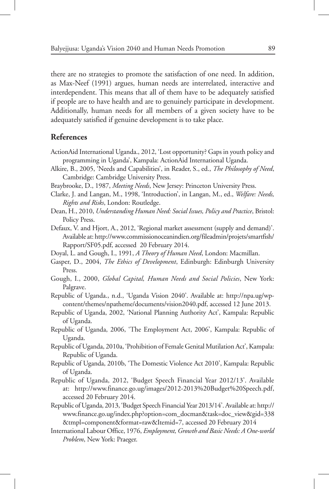there are no strategies to promote the satisfaction of one need. In addition, as Max-Neef (1991) argues, human needs are interrelated, interactive and interdependent. This means that all of them have to be adequately satisfied if people are to have health and are to genuinely participate in development. Additionally, human needs for all members of a given society have to be adequately satisfied if genuine development is to take place.

## **References**

- ActionAid International Uganda., 2012, 'Lost opportunity? Gaps in youth policy and programming in Uganda', Kampala: ActionAid International Uganda.
- Alkire, B., 2005, 'Needs and Capabilities', in Reader, S., ed., *The Philosophy of Need*, Cambridge: Cambridge University Press.
- Braybrooke, D., 1987, *Meeting Needs*, New Jersey: Princeton University Press.
- Clarke, J. and Langan, M., 1998, 'Introduction', in Langan, M., ed., *Welfare: Needs, Rights and Risks*, London: Routledge.
- Dean, H., 2010, *Understanding Human Need: Social Issues, Policy and Practice*, Bristol: Policy Press.
- Defaux, V. and Hjort, A., 2012, 'Regional market assessment (supply and demand)'. Available at: http://www.commissionoceanindien.org/fileadmin/projets/smartfish/ Rapport/SF05.pdf, accessed 20 February 2014.
- Doyal, L. and Gough, I., 1991, *A Theory of Human Need*, London: Macmillan.
- Gasper, D., 2004, *The Ethics of Development*, Edinburgh: Edinburgh University Press.
- Gough, I., 2000, *Global Capital, Human Needs and Social Policies*, New York: Palgrave.
- Republic of Uganda., n.d., 'Uganda Vision 2040'. Available at: http://npa.ug/wpcontent/themes/npatheme/documents/vision2040.pdf, accessed 12 June 2013.
- Republic of Uganda, 2002, 'National Planning Authority Act', Kampala: Republic of Uganda.
- Republic of Uganda, 2006, 'The Employment Act, 2006', Kampala: Republic of Uganda.
- Republic of Uganda, 2010a, 'Prohibition of Female Genital Mutilation Act', Kampala: Republic of Uganda.
- Republic of Uganda, 2010b, 'The Domestic Violence Act 2010', Kampala: Republic of Uganda.
- Republic of Uganda, 2012, 'Budget Speech Financial Year 2012/13'. Available at: http://www.finance.go.ug/images/2012-2013%20Budget%20Speech.pdf, accessed 20 February 2014.
- Republic of Uganda, 2013, 'Budget Speech Financial Year 2013/14'. Available at: http:// www.finance.go.ug/index.php?option=com\_docman&task=doc\_view&gid=338 &tmpl=component&format=raw&Itemid=7, accessed 20 February 2014
- International Labour Office, 1976, *Employment, Growth and Basic Needs: A One-world Problem*, New York: Praeger.